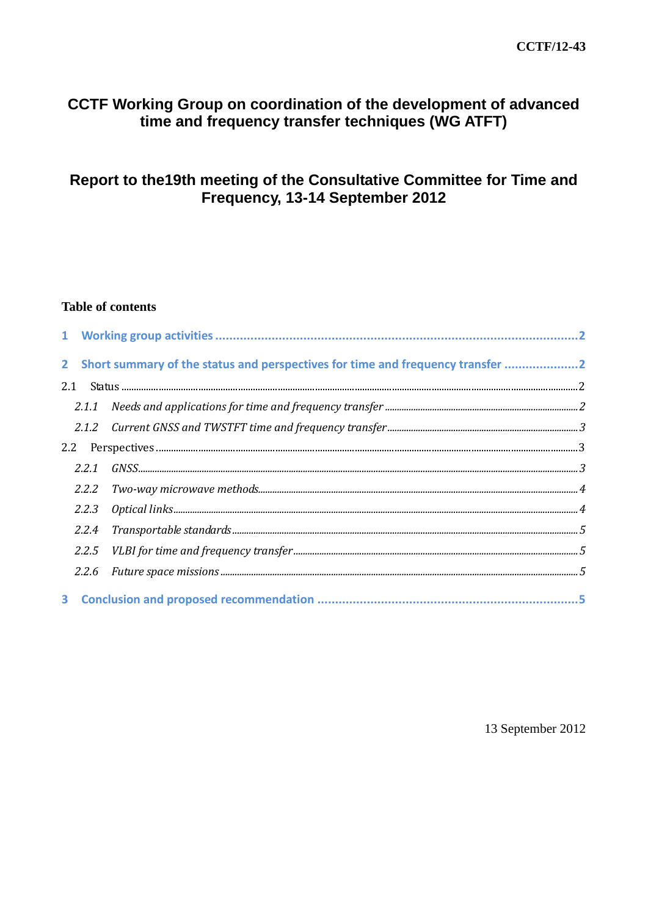### CCTF Working Group on coordination of the development of advanced time and frequency transfer techniques (WG ATFT)

# Report to the 19th meeting of the Consultative Committee for Time and Frequency, 13-14 September 2012

#### **Table of contents**

|     | 2 Short summary of the status and perspectives for time and frequency transfer 2 |
|-----|----------------------------------------------------------------------------------|
| 2.1 |                                                                                  |
|     |                                                                                  |
|     |                                                                                  |
| 2.2 |                                                                                  |
|     |                                                                                  |
|     |                                                                                  |
|     |                                                                                  |
|     |                                                                                  |
|     |                                                                                  |
|     |                                                                                  |
|     |                                                                                  |

13 September 2012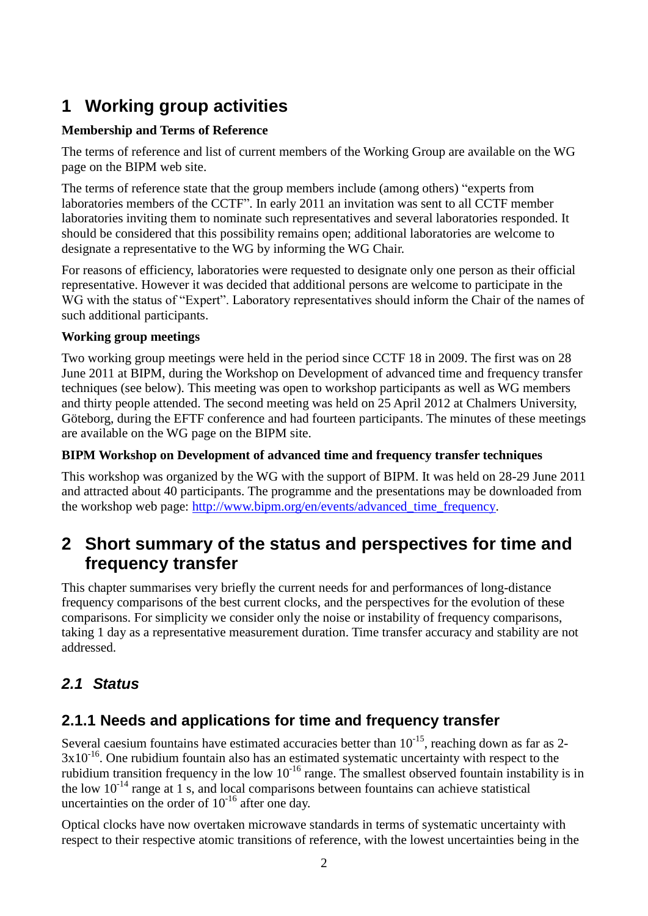# **1 Working group activities**

### **Membership and Terms of Reference**

The terms of reference and list of current members of the Working Group are available on the WG page on the BIPM web site.

The terms of reference state that the group members include (among others) "experts from laboratories members of the CCTF". In early 2011 an invitation was sent to all CCTF member laboratories inviting them to nominate such representatives and several laboratories responded. It should be considered that this possibility remains open; additional laboratories are welcome to designate a representative to the WG by informing the WG Chair.

For reasons of efficiency, laboratories were requested to designate only one person as their official representative. However it was decided that additional persons are welcome to participate in the WG with the status of "Expert". Laboratory representatives should inform the Chair of the names of such additional participants.

#### **Working group meetings**

Two working group meetings were held in the period since CCTF 18 in 2009. The first was on 28 June 2011 at BIPM, during the Workshop on Development of advanced time and frequency transfer techniques (see below). This meeting was open to workshop participants as well as WG members and thirty people attended. The second meeting was held on 25 April 2012 at Chalmers University, Göteborg, during the EFTF conference and had fourteen participants. The minutes of these meetings are available on the WG page on the BIPM site.

#### **BIPM Workshop on Development of advanced time and frequency transfer techniques**

This workshop was organized by the WG with the support of BIPM. It was held on 28-29 June 2011 and attracted about 40 participants. The programme and the presentations may be downloaded from the workshop web page: [http://www.bipm.org/en/events/advanced\\_time\\_frequency.](https://www.bipm.org/en/events/advanced_time_frequency)

# **2 Short summary of the status and perspectives for time and frequency transfer**

This chapter summarises very briefly the current needs for and performances of long-distance frequency comparisons of the best current clocks, and the perspectives for the evolution of these comparisons. For simplicity we consider only the noise or instability of frequency comparisons, taking 1 day as a representative measurement duration. Time transfer accuracy and stability are not addressed.

# *2.1 Status*

# **2.1.1 Needs and applications for time and frequency transfer**

Several caesium fountains have estimated accuracies better than  $10^{-15}$ , reaching down as far as 2- $3x10^{-16}$ . One rubidium fountain also has an estimated systematic uncertainty with respect to the rubidium transition frequency in the low  $10^{-16}$  range. The smallest observed fountain instability is in the low  $10^{-14}$  range at 1 s, and local comparisons between fountains can achieve statistical uncertainties on the order of  $10^{-16}$  after one day.

Optical clocks have now overtaken microwave standards in terms of systematic uncertainty with respect to their respective atomic transitions of reference, with the lowest uncertainties being in the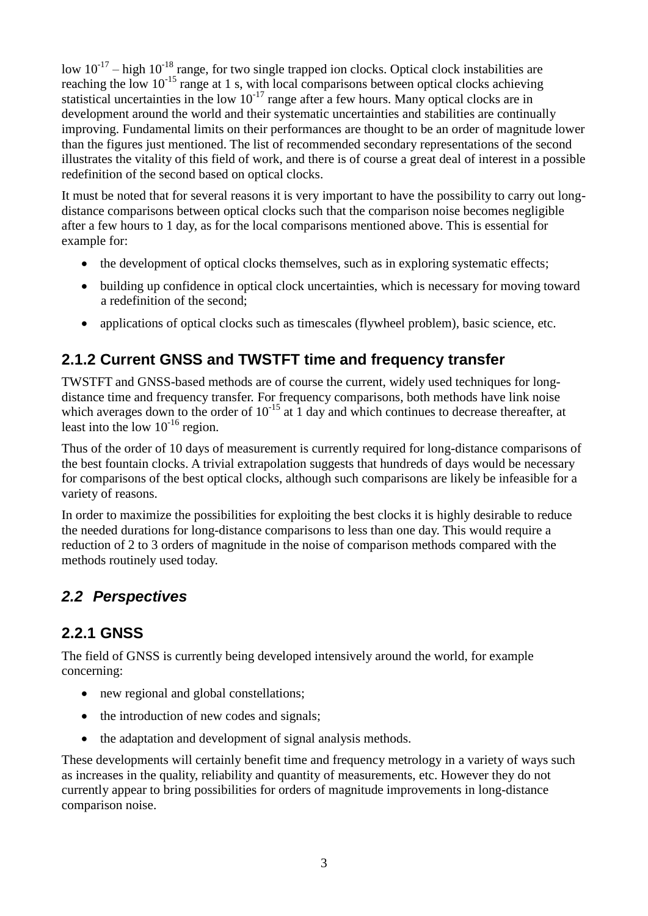low  $10^{-17}$  – high  $10^{-18}$  range, for two single trapped ion clocks. Optical clock instabilities are reaching the low  $10^{-15}$  range at 1 s, with local comparisons between optical clocks achieving statistical uncertainties in the low  $10^{-17}$  range after a few hours. Many optical clocks are in development around the world and their systematic uncertainties and stabilities are continually improving. Fundamental limits on their performances are thought to be an order of magnitude lower than the figures just mentioned. The list of recommended secondary representations of the second illustrates the vitality of this field of work, and there is of course a great deal of interest in a possible redefinition of the second based on optical clocks.

It must be noted that for several reasons it is very important to have the possibility to carry out longdistance comparisons between optical clocks such that the comparison noise becomes negligible after a few hours to 1 day, as for the local comparisons mentioned above. This is essential for example for:

- the development of optical clocks themselves, such as in exploring systematic effects;
- building up confidence in optical clock uncertainties, which is necessary for moving toward a redefinition of the second;
- applications of optical clocks such as timescales (flywheel problem), basic science, etc.

# **2.1.2 Current GNSS and TWSTFT time and frequency transfer**

TWSTFT and GNSS-based methods are of course the current, widely used techniques for longdistance time and frequency transfer. For frequency comparisons, both methods have link noise which averages down to the order of  $10^{-15}$  at 1 day and which continues to decrease thereafter, at least into the low  $10^{-16}$  region.

Thus of the order of 10 days of measurement is currently required for long-distance comparisons of the best fountain clocks. A trivial extrapolation suggests that hundreds of days would be necessary for comparisons of the best optical clocks, although such comparisons are likely be infeasible for a variety of reasons.

In order to maximize the possibilities for exploiting the best clocks it is highly desirable to reduce the needed durations for long-distance comparisons to less than one day. This would require a reduction of 2 to 3 orders of magnitude in the noise of comparison methods compared with the methods routinely used today.

# *2.2 Perspectives*

# **2.2.1 GNSS**

The field of GNSS is currently being developed intensively around the world, for example concerning:

- new regional and global constellations;
- the introduction of new codes and signals;
- the adaptation and development of signal analysis methods.

These developments will certainly benefit time and frequency metrology in a variety of ways such as increases in the quality, reliability and quantity of measurements, etc. However they do not currently appear to bring possibilities for orders of magnitude improvements in long-distance comparison noise.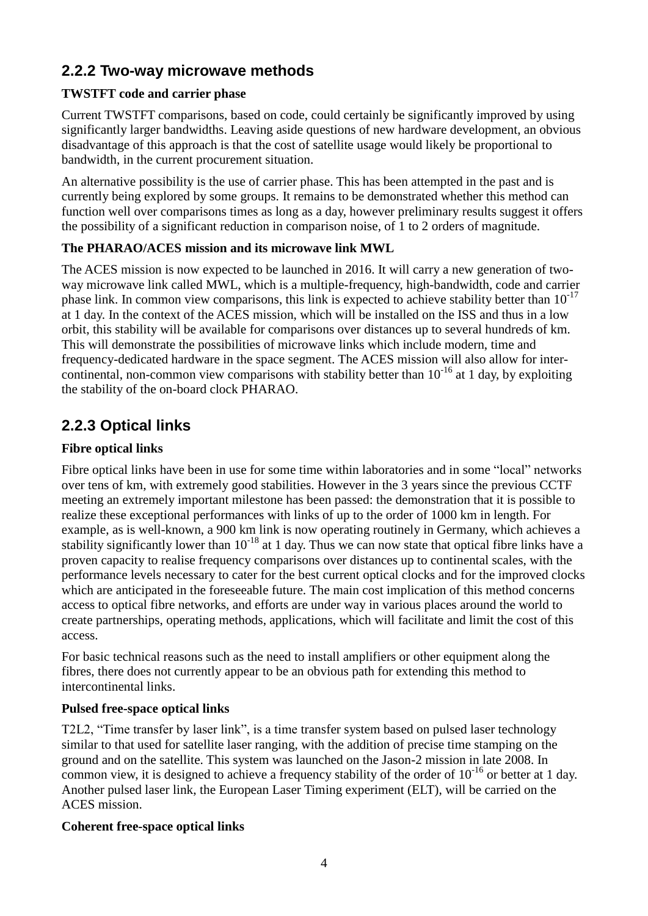# **2.2.2 Two-way microwave methods**

### **TWSTFT code and carrier phase**

Current TWSTFT comparisons, based on code, could certainly be significantly improved by using significantly larger bandwidths. Leaving aside questions of new hardware development, an obvious disadvantage of this approach is that the cost of satellite usage would likely be proportional to bandwidth, in the current procurement situation.

An alternative possibility is the use of carrier phase. This has been attempted in the past and is currently being explored by some groups. It remains to be demonstrated whether this method can function well over comparisons times as long as a day, however preliminary results suggest it offers the possibility of a significant reduction in comparison noise, of 1 to 2 orders of magnitude.

### **The PHARAO/ACES mission and its microwave link MWL**

The ACES mission is now expected to be launched in 2016. It will carry a new generation of twoway microwave link called MWL, which is a multiple-frequency, high-bandwidth, code and carrier phase link. In common view comparisons, this link is expected to achieve stability better than  $10^{-17}$ at 1 day. In the context of the ACES mission, which will be installed on the ISS and thus in a low orbit, this stability will be available for comparisons over distances up to several hundreds of km. This will demonstrate the possibilities of microwave links which include modern, time and frequency-dedicated hardware in the space segment. The ACES mission will also allow for intercontinental, non-common view comparisons with stability better than  $10^{-16}$  at 1 day, by exploiting the stability of the on-board clock PHARAO.

# **2.2.3 Optical links**

### **Fibre optical links**

Fibre optical links have been in use for some time within laboratories and in some "local" networks over tens of km, with extremely good stabilities. However in the 3 years since the previous CCTF meeting an extremely important milestone has been passed: the demonstration that it is possible to realize these exceptional performances with links of up to the order of 1000 km in length. For example, as is well-known, a 900 km link is now operating routinely in Germany, which achieves a stability significantly lower than  $10^{-18}$  at 1 day. Thus we can now state that optical fibre links have a proven capacity to realise frequency comparisons over distances up to continental scales, with the performance levels necessary to cater for the best current optical clocks and for the improved clocks which are anticipated in the foreseeable future. The main cost implication of this method concerns access to optical fibre networks, and efforts are under way in various places around the world to create partnerships, operating methods, applications, which will facilitate and limit the cost of this access.

For basic technical reasons such as the need to install amplifiers or other equipment along the fibres, there does not currently appear to be an obvious path for extending this method to intercontinental links.

#### **Pulsed free-space optical links**

T2L2, "Time transfer by laser link", is a time transfer system based on pulsed laser technology similar to that used for satellite laser ranging, with the addition of precise time stamping on the ground and on the satellite. This system was launched on the Jason-2 mission in late 2008. In common view, it is designed to achieve a frequency stability of the order of  $10^{-16}$  or better at 1 day. Another pulsed laser link, the European Laser Timing experiment (ELT), will be carried on the ACES mission.

#### **Coherent free-space optical links**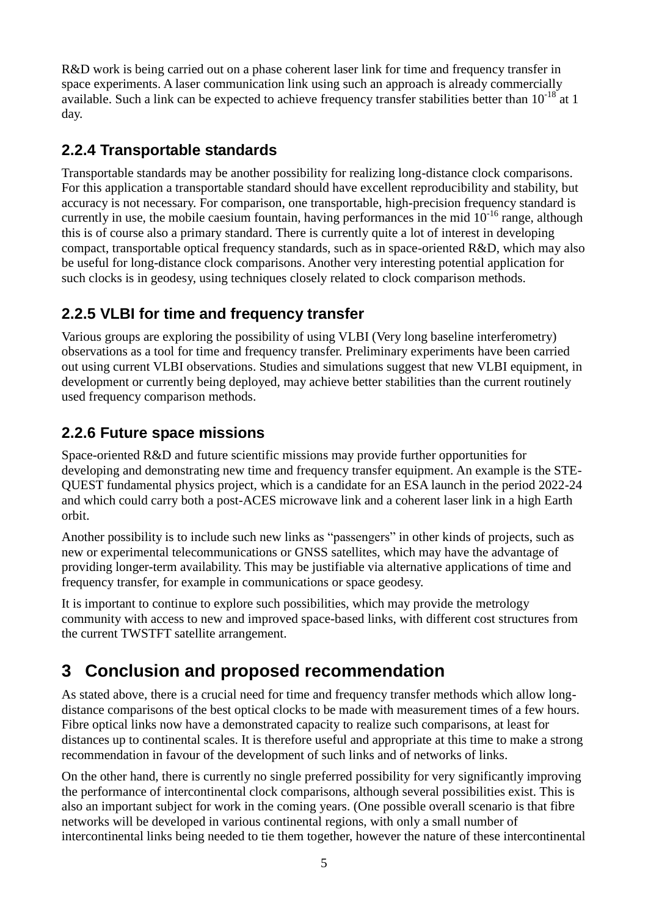R&D work is being carried out on a phase coherent laser link for time and frequency transfer in space experiments. A laser communication link using such an approach is already commercially available. Such a link can be expected to achieve frequency transfer stabilities better than  $10^{-18}$  at 1 day.

# **2.2.4 Transportable standards**

Transportable standards may be another possibility for realizing long-distance clock comparisons. For this application a transportable standard should have excellent reproducibility and stability, but accuracy is not necessary. For comparison, one transportable, high-precision frequency standard is currently in use, the mobile caesium fountain, having performances in the mid  $10^{-16}$  range, although this is of course also a primary standard. There is currently quite a lot of interest in developing compact, transportable optical frequency standards, such as in space-oriented R&D, which may also be useful for long-distance clock comparisons. Another very interesting potential application for such clocks is in geodesy, using techniques closely related to clock comparison methods.

# **2.2.5 VLBI for time and frequency transfer**

Various groups are exploring the possibility of using VLBI (Very long baseline interferometry) observations as a tool for time and frequency transfer. Preliminary experiments have been carried out using current VLBI observations. Studies and simulations suggest that new VLBI equipment, in development or currently being deployed, may achieve better stabilities than the current routinely used frequency comparison methods.

### **2.2.6 Future space missions**

Space-oriented R&D and future scientific missions may provide further opportunities for developing and demonstrating new time and frequency transfer equipment. An example is the STE-QUEST fundamental physics project, which is a candidate for an ESA launch in the period 2022-24 and which could carry both a post-ACES microwave link and a coherent laser link in a high Earth orbit.

Another possibility is to include such new links as "passengers" in other kinds of projects, such as new or experimental telecommunications or GNSS satellites, which may have the advantage of providing longer-term availability. This may be justifiable via alternative applications of time and frequency transfer, for example in communications or space geodesy.

It is important to continue to explore such possibilities, which may provide the metrology community with access to new and improved space-based links, with different cost structures from the current TWSTFT satellite arrangement.

# **3 Conclusion and proposed recommendation**

As stated above, there is a crucial need for time and frequency transfer methods which allow longdistance comparisons of the best optical clocks to be made with measurement times of a few hours. Fibre optical links now have a demonstrated capacity to realize such comparisons, at least for distances up to continental scales. It is therefore useful and appropriate at this time to make a strong recommendation in favour of the development of such links and of networks of links.

On the other hand, there is currently no single preferred possibility for very significantly improving the performance of intercontinental clock comparisons, although several possibilities exist. This is also an important subject for work in the coming years. (One possible overall scenario is that fibre networks will be developed in various continental regions, with only a small number of intercontinental links being needed to tie them together, however the nature of these intercontinental